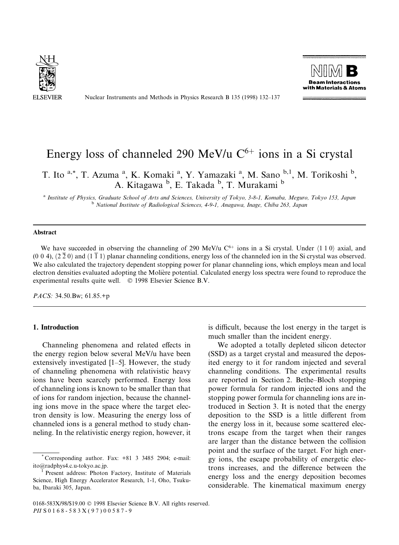

Nuclear Instruments and Methods in Physics Research B 135 (1998) 132-137



# Energy loss of channeled 290 MeV/u  $C^{6+}$  ions in a Si crystal

T. Ito <sup>a,\*</sup>, T. Azuma <sup>a</sup>, K. Komaki <sup>a</sup>, Y. Yamazaki <sup>a</sup>, M. Sano <sup>b,1</sup>, M. Torikoshi <sup>b</sup>, A. Kitagawa <sup>b</sup>, E. Takada <sup>b</sup>, T. Murakami <sup>b</sup>

a Institute of Physics, Graduate School of Arts and Sciences, University of Tokyo, 3-8-1, Komaba, Meguro, Tokyo 153, Japan b National Institute of Radiological Sciences, 4-9-1, Anagawa, Inage, Chiba 263, Japan

# Abstract

We have succeeded in observing the channeling of 290 MeV/u  $C^{6+}$  ions in a Si crystal. Under  $\langle 1 1 0 \rangle$  axial, and  $(0, 0, 4)$ ,  $(2, 2, 0)$  and  $(1, 1, 1)$  planar channeling conditions, energy loss of the channeled ion in the Si crystal was observed. We also calculated the trajectory dependent stopping power for planar channeling ions, which employs mean and local electron densities evaluated adopting the Moliere potential. Calculated energy loss spectra were found to reproduce the experimental results quite well. © 1998 Elsevier Science B.V.

PACS: 34.50.Bw; 61.85.+p

# 1. Introduction

Channeling phenomena and related effects in the energy region below several MeV/u have been extensively investigated  $[1–5]$ . However, the study of channeling phenomena with relativistic heavy ions have been scarcely performed. Energy loss of channeling ions is known to be smaller than that of ions for random injection, because the channeling ions move in the space where the target electron density is low. Measuring the energy loss of channeled ions is a general method to study channeling. In the relativistic energy region, however, it is difficult, because the lost energy in the target is much smaller than the incident energy.

We adopted a totally depleted silicon detector (SSD) as a target crystal and measured the deposited energy to it for random injected and several channeling conditions. The experimental results are reported in Section 2. Bethe–Bloch stopping power formula for random injected ions and the stopping power formula for channeling ions are introduced in Section 3. It is noted that the energy deposition to the SSD is a little different from the energy loss in it, because some scattered electrons escape from the target when their ranges are larger than the distance between the collision point and the surface of the target. For high energy ions, the escape probability of energetic electrons increases, and the difference between the energy loss and the energy deposition becomes considerable. The kinematical maximum energy

<sup>\*</sup> Corresponding author. Fax: +81 3 3485 2904; e-mail: ito@radphys4.c.u-tokyo.ac.jp.<br><sup>1</sup> Present address: Photon Factory, Institute of Materials

Science, High Energy Accelerator Research, 1-1, Oho, Tsukuba, Ibaraki 305, Japan.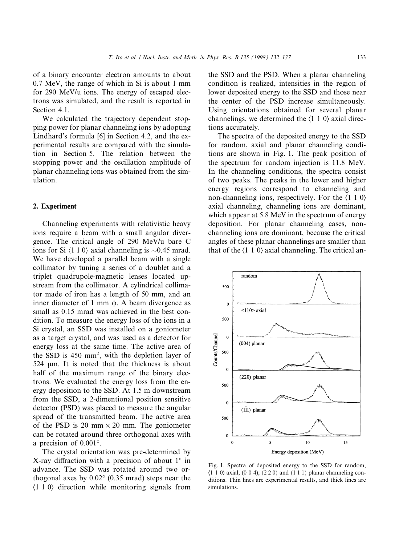of a binary encounter electron amounts to about 0.7 MeV, the range of which in Si is about 1 mm for 290 MeV/u ions. The energy of escaped electrons was simulated, and the result is reported in Section 4.1.

We calculated the trajectory dependent stopping power for planar channeling ions by adopting Lindhard's formula [6] in Section 4.2, and the experimental results are compared with the simulation in Section 5. The relation between the stopping power and the oscillation amplitude of planar channeling ions was obtained from the simulation.

## 2. Experiment

Channeling experiments with relativistic heavy ions require a beam with a small angular divergence. The critical angle of 290 MeV/u bare C ions for Si  $\langle 1\ 1\ 0 \rangle$  axial channeling is  $\sim 0.45$  mrad. We have developed a parallel beam with a single collimator by tuning a series of a doublet and a triplet quadrupole-magnetic lenses located upstream from the collimator. A cylindrical collimator made of iron has a length of 50 mm, and an inner diameter of 1 mm  $\phi$ . A beam divergence as small as 0.15 mrad was achieved in the best condition. To measure the energy loss of the ions in a Si crystal, an SSD was installed on a goniometer as a target crystal, and was used as a detector for energy loss at the same time. The active area of the SSD is 450 mm2, with the depletion layer of 524 µm. It is noted that the thickness is about half of the maximum range of the binary electrons. We evaluated the energy loss from the energy deposition to the SSD. At 1.5 m downstream from the SSD, a 2-dimentional position sensitive detector (PSD) was placed to measure the angular spread of the transmitted beam. The active area of the PSD is 20 mm  $\times$  20 mm. The goniometer can be rotated around three orthogonal axes with a precision of 0.001°.

The crystal orientation was pre-determined by X-ray diffraction with a precision of about  $1^\circ$  in advance. The SSD was rotated around two orthogonal axes by 0.02° (0.35 mrad) steps near the  $\langle 1\ 1\ 0 \rangle$  direction while monitoring signals from

the SSD and the PSD. When a planar channeling condition is realized, intensities in the region of lower deposited energy to the SSD and those near the center of the PSD increase simultaneously. Using orientations obtained for several planar channelings, we determined the  $\langle 1 \ 1 \ 0 \rangle$  axial directions accurately.

The spectra of the deposited energy to the SSD for random, axial and planar channeling conditions are shown in Fig. 1. The peak position of the spectrum for random injection is 11.8 MeV. In the channeling conditions, the spectra consist of two peaks. The peaks in the lower and higher energy regions correspond to channeling and non-channeling ions, respectively. For the  $\langle 1\ 1\ 0 \rangle$ axial channeling, channeling ions are dominant, which appear at 5.8 MeV in the spectrum of energy deposition. For planar channeling cases, nonchanneling ions are dominant, because the critical angles of these planar channelings are smaller than that of the  $\langle 1 \ 1 \ 0 \rangle$  axial channeling. The critical an-



Fig. 1. Spectra of deposited energy to the SSD for random,  $\langle 1\ 1\ 0 \rangle$  axial, (0 0 4),  $(2\ \overline{2}\ 0)$  and  $(1\ \overline{1}\ 1)$  planar channeling conditions. Thin lines are experimental results, and thick lines are simulations.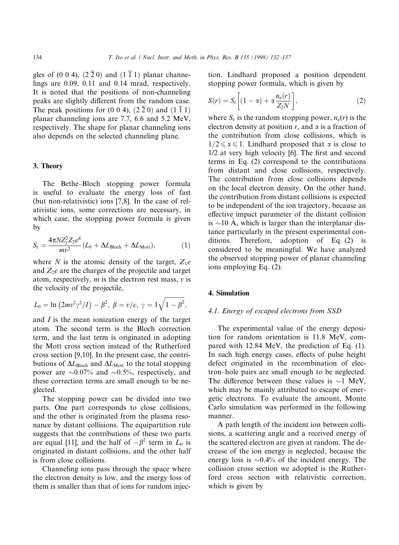gles of (0 0 4),  $(2\overline{2}0)$  and  $(1\overline{1}1)$  planar channelings are 0.09, 0.11 and 0.14 mrad, respectively. It is noted that the positions of non-channeling peaks are slightly different from the random case. The peak positions for (0 0 4),  $(2\overline{2}0)$  and  $(1\overline{1}1)$ planar channeling ions are 7.7, 6.6 and 5.2 MeV, respectively. The shape for planar channeling ions also depends on the selected channeling plane.

#### 3. Theory

The Bethe-Bloch stopping power formula is useful to evaluate the energy loss of fast (but non-relativistic) ions [7,8]. In the case of relativistic ions, some corrections are necessary, in which case, the stopping power formula is given by

$$
S_{\rm r} = \frac{4\pi N Z_1^2 Z_2 e^4}{mv^2} (L_0 + \Delta L_{\rm Bloch} + \Delta L_{\rm Mott}), \tag{1}
$$

where N is the atomic density of the target,  $Z_1e$ and  $Z_2e$  are the charges of the projectile and target atom, respectively,  $m$  is the electron rest mass,  $v$  is the velocity of the projectile,

$$
L_0 = \ln (2mv^2\gamma^2/I) - \beta^2, \ \beta = v/c, \ \gamma = 1\sqrt{1 - \beta^2},
$$

and  $I$  is the mean ionization energy of the target atom. The second term is the Bloch correction term, and the last term is originated in adopting the Mott cross section instead of the Rutherford cross section [9,10]. In the present case, the contributions of  $\Delta L_{\text{Bloch}}$  and  $\Delta L_{\text{Mott}}$  to the total stopping power are  $\sim 0.07\%$  and  $\sim 0.5\%$ , respectively, and these correction terms are small enough to be neglected.

The stopping power can be divided into two parts. One part corresponds to close collisions, and the other is originated from the plasma resonance by distant collisions. The equipartition rule suggests that the contributions of these two parts are equal [11], and the half of  $-\beta^2$  term in  $L_0$  is originated in distant collisions, and the other half is from close collisions.

Channeling ions pass through the space where the electron density is low, and the energy loss of them is smaller than that of ions for random injection. Lindhard proposed a position dependent stopping power formula, which is given by

$$
S(r) = S_r \left[ (1 - \alpha) + \alpha \frac{n_e(r)}{Z_2 N} \right],
$$
 (2)

where  $S_r$  is the random stopping power,  $n_e(r)$  is the electron density at position  $r$ , and  $\alpha$  is a fraction of the contribution from close collisions, which is  $1/2 \le \alpha \le 1$ . Lindhard proposed that  $\alpha$  is close to  $1/2$  at very high velocity  $[6]$ . The first and second terms in Eq. (2) correspond to the contributions from distant and close collisions, respectively. The contribution from close collisions depends on the local electron density. On the other hand, the contribution from distant collisions is expected to be independent of the ion trajectory, because an effective impact parameter of the distant collision is  $\sim$ 10 A, which is larger than the interplanar distance particularly in the present experimental conditions. Therefore, adoption of Eq. (2) is considered to be meaningful. We have analyzed the observed stopping power of planar channeling ions employing Eq. (2).

# 4. Simulation

#### 4.1. Energy of escaped electrons from SSD

The experimental value of the energy deposition for random orientation is 11.8 MeV, compared with 12.84 MeV, the prediction of Eq. (1). In such high energy cases, effects of pulse height defect originated in the recombination of electron±hole pairs are small enough to be neglected. The difference between these values is  $\sim$ 1 MeV, which may be mainly attributed to escape of energetic electrons. To evaluate the amount, Monte Carlo simulation was performed in the following manner.

A path length of the incident ion between collisions, a scattering angle and a received energy of the scattered electron are given at random. The decrease of the ion energy is neglected, because the energy loss is  $\sim 0.4\%$  of the incident energy. The collision cross section we adopted is the Rutherford cross section with relativistic correction, which is given by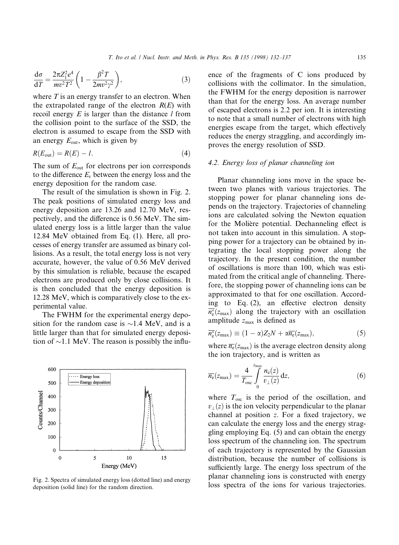$$
\frac{\mathrm{d}\sigma}{\mathrm{d}T} = \frac{2\pi Z_1^2 e^4}{mv^2 T^2} \left(1 - \frac{\beta^2 T}{2mv^2 \gamma^2}\right),\tag{3}
$$

where  $T$  is an energy transfer to an electron. When the extrapolated range of the electron  $R(E)$  with recoil energy  $E$  is larger than the distance  $l$  from the collision point to the surface of the SSD, the electron is assumed to escape from the SSD with an energy  $E_{\text{out}}$ , which is given by

$$
R(E_{\text{out}}) = R(E) - l. \tag{4}
$$

The sum of  $E_{\text{out}}$  for electrons per ion corresponds to the difference  $E_r$  between the energy loss and the energy deposition for the random case.

The result of the simulation is shown in Fig. 2. The peak positions of simulated energy loss and energy deposition are 13.26 and 12.70 MeV, respectively, and the difference is  $0.56$  MeV. The simulated energy loss is a little larger than the value 12.84 MeV obtained from Eq. (1). Here, all processes of energy transfer are assumed as binary collisions. As a result, the total energy loss is not very accurate, however, the value of 0.56 MeV derived by this simulation is reliable, because the escaped electrons are produced only by close collisions. It is then concluded that the energy deposition is 12.28 MeV, which is comparatively close to the experimental value.

The FWHM for the experimental energy deposition for the random case is  $\sim$ 1.4 MeV, and is a little larger than that for simulated energy deposition of  $\sim$ 1.1 MeV. The reason is possibly the influ-



deposition (solid line) for the random direction.

ence of the fragments of C ions produced by collisions with the collimator. In the simulation, the FWHM for the energy deposition is narrower than that for the energy loss. An average number of escaped electrons is 2.2 per ion. It is interesting to note that a small number of electrons with high energies escape from the target, which effectively reduces the energy straggling, and accordingly improves the energy resolution of SSD.

# 4.2. Energy loss of planar channeling ion

Planar channeling ions move in the space between two planes with various trajectories. The stopping power for planar channeling ions depends on the trajectory. Trajectories of channeling ions are calculated solving the Newton equation for the Molière potential. Dechanneling effect is not taken into account in this simulation. A stopping power for a trajectory can be obtained by integrating the local stopping power along the trajectory. In the present condition, the number of oscillations is more than 100, which was estimated from the critical angle of channeling. Therefore, the stopping power of channeling ions can be approximated to that for one oscillation. According to Eq.  $(2)$ , an effective electron density  $\overline{n_e^*(z_{\text{max}})}$  along the trajectory with an oscillation amplitude  $z_{\text{max}}$  is defined as

$$
\overline{n_e^*}(z_{\text{max}}) \equiv (1 - \alpha)Z_2N + \alpha \overline{n_e}(z_{\text{max}}), \qquad (5)
$$

where  $\overline{n_e}(z_{\text{max}})$  is the average electron density along the ion trajectory, and is written as

$$
\overline{n_{e}}(z_{\max}) = \frac{4}{T_{\text{osc}}} \int_{0}^{z_{\max}} \frac{n_{e}(z)}{v_{\perp}(z)} dz, \qquad (6)
$$

where  $T_{\text{osc}}$  is the period of the oscillation, and  $v_1(z)$  is the ion velocity perpendicular to the planar channel at position  $z$ . For a fixed trajectory, we can calculate the energy loss and the energy straggling employing Eq. (5) and can obtain the energy loss spectrum of the channeling ion. The spectrum of each trajectory is represented by the Gaussian distribution, because the number of collisions is sufficiently large. The energy loss spectrum of the planar channeling ions is constructed with energy Fig. 2. Spectra of simulated energy loss (dotted line) and energy planar channeling folis is constructed with energy denosition (solid line) for the random direction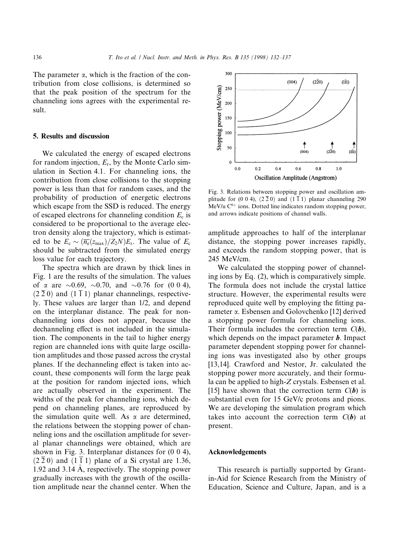The parameter  $\alpha$ , which is the fraction of the contribution from close collisions, is determined so that the peak position of the spectrum for the channeling ions agrees with the experimental result.

#### 5. Results and discussion

We calculated the energy of escaped electrons for random injection,  $E_r$ , by the Monte Carlo simulation in Section 4.1. For channeling ions, the contribution from close collisions to the stopping power is less than that for random cases, and the probability of production of energetic electrons which escape from the SSD is reduced. The energy of escaped electrons for channeling condition  $E_c$  is considered to be proportional to the average electron density along the trajectory, which is estimated to be  $E_c \sim (\overline{n_e}(z_{\rm max})/Z_2N)E_r$ . The value of  $E_c$ should be subtracted from the simulated energy loss value for each trajectory.

The spectra which are drawn by thick lines in Fig. 1 are the results of the simulation. The values of  $\alpha$  are  $\sim 0.69$ ,  $\sim 0.70$ , and  $\sim 0.76$  for (0 0 4),  $(2\bar{2} 0)$  and  $(1\bar{1} 1)$  planar channelings, respectively. These values are larger than 1/2, and depend on the interplanar distance. The peak for nonchanneling ions does not appear, because the dechanneling effect is not included in the simulation. The components in the tail to higher energy region are channeled ions with quite large oscillation amplitudes and those passed across the crystal planes. If the dechanneling effect is taken into account, these components will form the large peak at the position for random injected ions, which are actually observed in the experiment. The widths of the peak for channeling ions, which depend on channeling planes, are reproduced by the simulation quite well. As  $\alpha$  are determined, the relations between the stopping power of channeling ions and the oscillation amplitude for several planar channelings were obtained, which are shown in Fig. 3. Interplanar distances for (0 0 4),  $(2\overline{2}0)$  and  $(1\overline{1}1)$  plane of a Si crystal are 1.36, 1.92 and 3.14 A, respectively. The stopping power gradually increases with the growth of the oscillation amplitude near the channel center. When the



Fig. 3. Relations between stopping power and oscillation amplitude for (0 0 4),  $(2\bar{2}0)$  and  $(1\bar{1}1)$  planar channeling 290 MeV/u  $C^{6+}$  ions. Dotted line indicates random stopping power, and arrows indicate positions of channel walls.

amplitude approaches to half of the interplanar distance, the stopping power increases rapidly, and exceeds the random stopping power, that is 245 MeV/cm.

We calculated the stopping power of channeling ions by Eq. (2), which is comparatively simple. The formula does not include the crystal lattice structure. However, the experimental results were reproduced quite well by employing the fitting parameter a. Esbensen and Golovchenko [12] derived a stopping power formula for channeling ions. Their formula includes the correction term  $C(b)$ , which depends on the impact parameter **. Impact** parameter dependent stopping power for channeling ions was investigated also by other groups [13,14]. Crawford and Nestor, Jr. calculated the stopping power more accurately, and their formula can be applied to high-Z crystals. Esbensen et al. [15] have shown that the correction term  $C(b)$  is substantial even for 15 GeV/c protons and pions. We are developing the simulation program which takes into account the correction term  $C(b)$  at present.

#### Acknowledgements

This research is partially supported by Grantin-Aid for Science Research from the Ministry of Education, Science and Culture, Japan, and is a